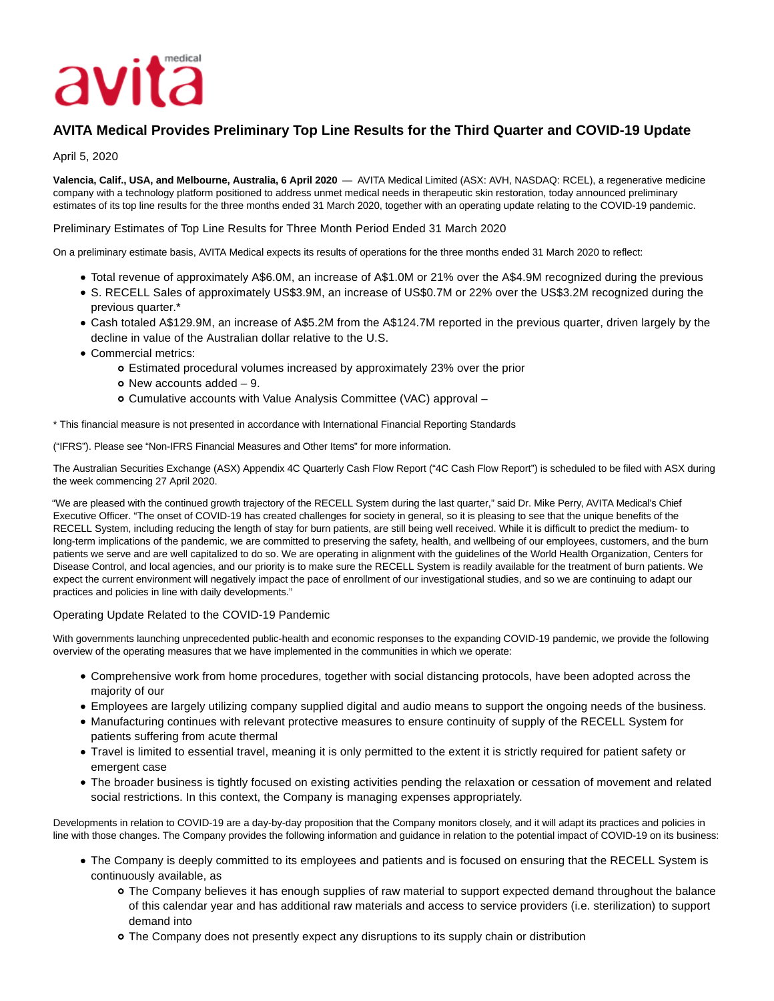# avitä

# **AVITA Medical Provides Preliminary Top Line Results for the Third Quarter and COVID-19 Update**

# April 5, 2020

**Valencia, Calif., USA, and Melbourne, Australia, 6 April 2020** — AVITA Medical Limited (ASX: AVH, NASDAQ: RCEL), a regenerative medicine company with a technology platform positioned to address unmet medical needs in therapeutic skin restoration, today announced preliminary estimates of its top line results for the three months ended 31 March 2020, together with an operating update relating to the COVID-19 pandemic.

# Preliminary Estimates of Top Line Results for Three Month Period Ended 31 March 2020

On a preliminary estimate basis, AVITA Medical expects its results of operations for the three months ended 31 March 2020 to reflect:

- Total revenue of approximately A\$6.0M, an increase of A\$1.0M or 21% over the A\$4.9M recognized during the previous
- S. RECELL Sales of approximately US\$3.9M, an increase of US\$0.7M or 22% over the US\$3.2M recognized during the previous quarter.\*
- Cash totaled A\$129.9M, an increase of A\$5.2M from the A\$124.7M reported in the previous quarter, driven largely by the decline in value of the Australian dollar relative to the U.S.
- Commercial metrics:
	- Estimated procedural volumes increased by approximately 23% over the prior
	- $\circ$  New accounts added  $-9$ .
	- Cumulative accounts with Value Analysis Committee (VAC) approval –

\* This financial measure is not presented in accordance with International Financial Reporting Standards

("IFRS"). Please see "Non-IFRS Financial Measures and Other Items" for more information.

The Australian Securities Exchange (ASX) Appendix 4C Quarterly Cash Flow Report ("4C Cash Flow Report") is scheduled to be filed with ASX during the week commencing 27 April 2020.

"We are pleased with the continued growth trajectory of the RECELL System during the last quarter," said Dr. Mike Perry, AVITA Medical's Chief Executive Officer. "The onset of COVID-19 has created challenges for society in general, so it is pleasing to see that the unique benefits of the RECELL System, including reducing the length of stay for burn patients, are still being well received. While it is difficult to predict the medium- to long-term implications of the pandemic, we are committed to preserving the safety, health, and wellbeing of our employees, customers, and the burn patients we serve and are well capitalized to do so. We are operating in alignment with the guidelines of the World Health Organization, Centers for Disease Control, and local agencies, and our priority is to make sure the RECELL System is readily available for the treatment of burn patients. We expect the current environment will negatively impact the pace of enrollment of our investigational studies, and so we are continuing to adapt our practices and policies in line with daily developments."

## Operating Update Related to the COVID-19 Pandemic

With governments launching unprecedented public-health and economic responses to the expanding COVID-19 pandemic, we provide the following overview of the operating measures that we have implemented in the communities in which we operate:

- Comprehensive work from home procedures, together with social distancing protocols, have been adopted across the majority of our
- Employees are largely utilizing company supplied digital and audio means to support the ongoing needs of the business.
- Manufacturing continues with relevant protective measures to ensure continuity of supply of the RECELL System for patients suffering from acute thermal
- Travel is limited to essential travel, meaning it is only permitted to the extent it is strictly required for patient safety or emergent case
- The broader business is tightly focused on existing activities pending the relaxation or cessation of movement and related social restrictions. In this context, the Company is managing expenses appropriately.

Developments in relation to COVID-19 are a day-by-day proposition that the Company monitors closely, and it will adapt its practices and policies in line with those changes. The Company provides the following information and guidance in relation to the potential impact of COVID-19 on its business:

- The Company is deeply committed to its employees and patients and is focused on ensuring that the RECELL System is continuously available, as
	- The Company believes it has enough supplies of raw material to support expected demand throughout the balance of this calendar year and has additional raw materials and access to service providers (i.e. sterilization) to support demand into
	- The Company does not presently expect any disruptions to its supply chain or distribution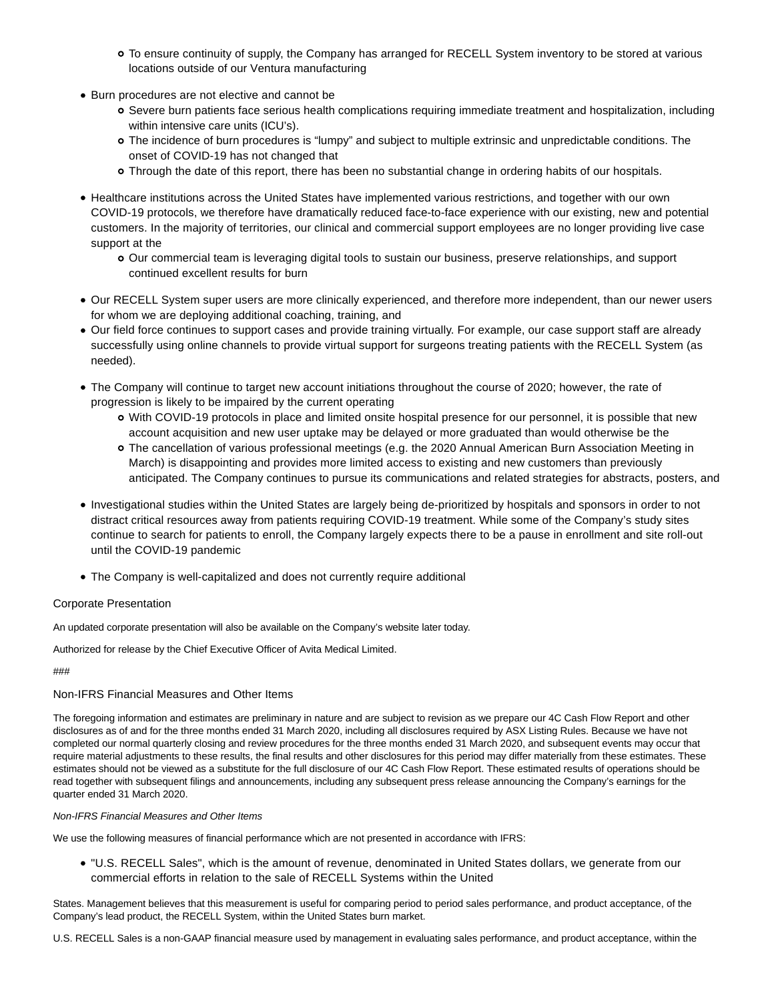- To ensure continuity of supply, the Company has arranged for RECELL System inventory to be stored at various locations outside of our Ventura manufacturing
- Burn procedures are not elective and cannot be
	- Severe burn patients face serious health complications requiring immediate treatment and hospitalization, including within intensive care units (ICU's).
	- The incidence of burn procedures is "lumpy" and subject to multiple extrinsic and unpredictable conditions. The onset of COVID-19 has not changed that
	- Through the date of this report, there has been no substantial change in ordering habits of our hospitals.
- Healthcare institutions across the United States have implemented various restrictions, and together with our own COVID-19 protocols, we therefore have dramatically reduced face-to-face experience with our existing, new and potential customers. In the majority of territories, our clinical and commercial support employees are no longer providing live case support at the
	- Our commercial team is leveraging digital tools to sustain our business, preserve relationships, and support continued excellent results for burn
- Our RECELL System super users are more clinically experienced, and therefore more independent, than our newer users for whom we are deploying additional coaching, training, and
- Our field force continues to support cases and provide training virtually. For example, our case support staff are already successfully using online channels to provide virtual support for surgeons treating patients with the RECELL System (as needed).
- The Company will continue to target new account initiations throughout the course of 2020; however, the rate of progression is likely to be impaired by the current operating
	- With COVID-19 protocols in place and limited onsite hospital presence for our personnel, it is possible that new account acquisition and new user uptake may be delayed or more graduated than would otherwise be the
	- The cancellation of various professional meetings (e.g. the 2020 Annual American Burn Association Meeting in March) is disappointing and provides more limited access to existing and new customers than previously anticipated. The Company continues to pursue its communications and related strategies for abstracts, posters, and
- Investigational studies within the United States are largely being de-prioritized by hospitals and sponsors in order to not distract critical resources away from patients requiring COVID-19 treatment. While some of the Company's study sites continue to search for patients to enroll, the Company largely expects there to be a pause in enrollment and site roll-out until the COVID-19 pandemic
- The Company is well-capitalized and does not currently require additional

## Corporate Presentation

An updated corporate presentation will also be available on the Company's website later today.

Authorized for release by the Chief Executive Officer of Avita Medical Limited.

# ###

# Non-IFRS Financial Measures and Other Items

The foregoing information and estimates are preliminary in nature and are subject to revision as we prepare our 4C Cash Flow Report and other disclosures as of and for the three months ended 31 March 2020, including all disclosures required by ASX Listing Rules. Because we have not completed our normal quarterly closing and review procedures for the three months ended 31 March 2020, and subsequent events may occur that require material adjustments to these results, the final results and other disclosures for this period may differ materially from these estimates. These estimates should not be viewed as a substitute for the full disclosure of our 4C Cash Flow Report. These estimated results of operations should be read together with subsequent filings and announcements, including any subsequent press release announcing the Company's earnings for the quarter ended 31 March 2020.

# Non-IFRS Financial Measures and Other Items

We use the following measures of financial performance which are not presented in accordance with IFRS:

"U.S. RECELL Sales", which is the amount of revenue, denominated in United States dollars, we generate from our commercial efforts in relation to the sale of RECELL Systems within the United

States. Management believes that this measurement is useful for comparing period to period sales performance, and product acceptance, of the Company's lead product, the RECELL System, within the United States burn market.

U.S. RECELL Sales is a non-GAAP financial measure used by management in evaluating sales performance, and product acceptance, within the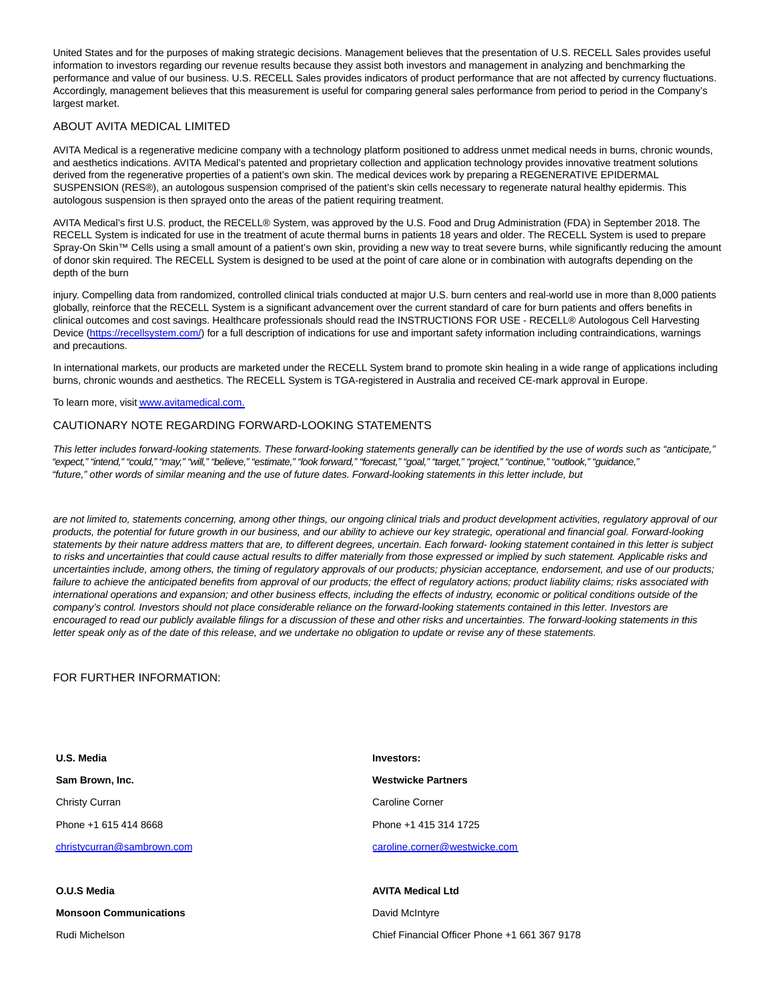United States and for the purposes of making strategic decisions. Management believes that the presentation of U.S. RECELL Sales provides useful information to investors regarding our revenue results because they assist both investors and management in analyzing and benchmarking the performance and value of our business. U.S. RECELL Sales provides indicators of product performance that are not affected by currency fluctuations. Accordingly, management believes that this measurement is useful for comparing general sales performance from period to period in the Company's largest market.

### ABOUT AVITA MEDICAL LIMITED

AVITA Medical is a regenerative medicine company with a technology platform positioned to address unmet medical needs in burns, chronic wounds, and aesthetics indications. AVITA Medical's patented and proprietary collection and application technology provides innovative treatment solutions derived from the regenerative properties of a patient's own skin. The medical devices work by preparing a REGENERATIVE EPIDERMAL SUSPENSION (RES®), an autologous suspension comprised of the patient's skin cells necessary to regenerate natural healthy epidermis. This autologous suspension is then sprayed onto the areas of the patient requiring treatment.

AVITA Medical's first U.S. product, the RECELL® System, was approved by the U.S. Food and Drug Administration (FDA) in September 2018. The RECELL System is indicated for use in the treatment of acute thermal burns in patients 18 years and older. The RECELL System is used to prepare Spray-On Skin™ Cells using a small amount of a patient's own skin, providing a new way to treat severe burns, while significantly reducing the amount of donor skin required. The RECELL System is designed to be used at the point of care alone or in combination with autografts depending on the depth of the burn

injury. Compelling data from randomized, controlled clinical trials conducted at major U.S. burn centers and real-world use in more than 8,000 patients globally, reinforce that the RECELL System is a significant advancement over the current standard of care for burn patients and offers benefits in clinical outcomes and cost savings. Healthcare professionals should read the INSTRUCTIONS FOR USE - RECELL® Autologous Cell Harvesting Device [\(https://recellsystem.com/\)](https://recellsystem.com/) for a full description of indications for use and important safety information including contraindications, warnings and precautions.

In international markets, our products are marketed under the RECELL System brand to promote skin healing in a wide range of applications including burns, chronic wounds and aesthetics. The RECELL System is TGA-registered in Australia and received CE-mark approval in Europe.

To learn more, visi[t www.avitamedical.com.](http://www.avitamedical.com/)

## CAUTIONARY NOTE REGARDING FORWARD-LOOKING STATEMENTS

This letter includes forward-looking statements. These forward-looking statements generally can be identified by the use of words such as "anticipate," "expect," "intend," "could," "may," "will," "believe," "estimate," "look forward," "forecast," "goal," "target," "project," "continue," "outlook," "guidance," "future," other words of similar meaning and the use of future dates. Forward-looking statements in this letter include, but

are not limited to, statements concerning, among other things, our ongoing clinical trials and product development activities, regulatory approval of our products, the potential for future growth in our business, and our ability to achieve our key strategic, operational and financial goal. Forward-looking statements by their nature address matters that are, to different degrees, uncertain. Each forward- looking statement contained in this letter is subject to risks and uncertainties that could cause actual results to differ materially from those expressed or implied by such statement. Applicable risks and uncertainties include, among others, the timing of regulatory approvals of our products; physician acceptance, endorsement, and use of our products; failure to achieve the anticipated benefits from approval of our products; the effect of regulatory actions; product liability claims; risks associated with international operations and expansion; and other business effects, including the effects of industry, economic or political conditions outside of the company's control. Investors should not place considerable reliance on the forward-looking statements contained in this letter. Investors are encouraged to read our publicly available filings for a discussion of these and other risks and uncertainties. The forward-looking statements in this letter speak only as of the date of this release, and we undertake no obligation to update or revise any of these statements.

### FOR FURTHER INFORMATION:

| U.S. Media                    | Investors:                    |
|-------------------------------|-------------------------------|
| Sam Brown, Inc.               | <b>Westwicke Partners</b>     |
| <b>Christy Curran</b>         | Caroline Corner               |
| Phone +1 615 414 8668         | Phone +1 415 314 1725         |
| christycurran@sambrown.com    | caroline.corner@westwicke.com |
|                               |                               |
| O.U.S Media                   | <b>AVITA Medical Ltd</b>      |
| <b>Monsoon Communications</b> | David McIntyre                |

Rudi Michelson

Chief Financial Officer Phone +1 661 367 9178